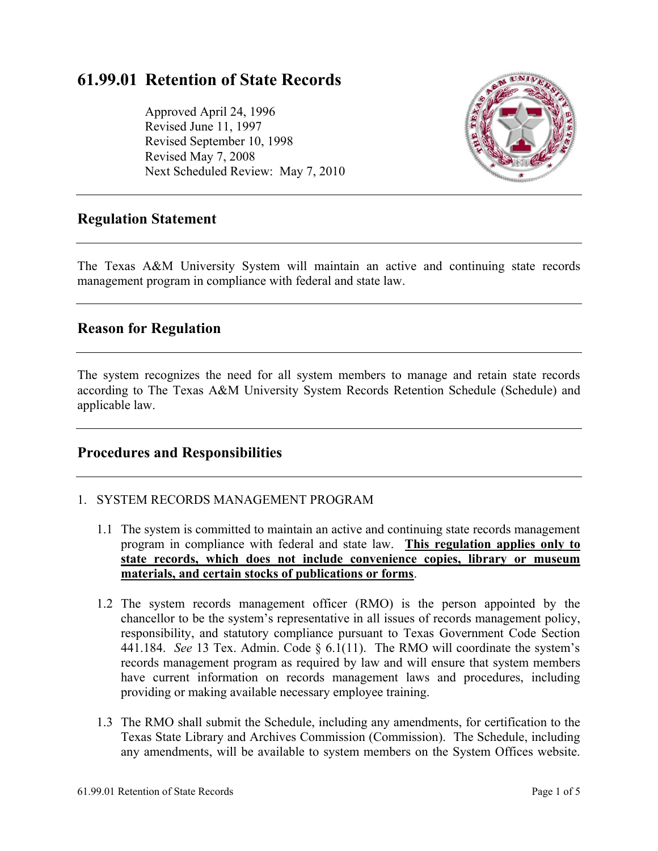# **61.99.01 Retention of State Records**

Approved April 24, 1996 Revised June 11, 1997 Revised September 10, 1998 Revised May 7, 2008 Next Scheduled Review: May 7, 2010



# **Regulation Statement**

The Texas A&M University System will maintain an active and continuing state records management program in compliance with federal and state law.

# **Reason for Regulation**

The system recognizes the need for all system members to manage and retain state records according to The Texas A&M University System Records Retention Schedule (Schedule) and applicable law.

## **Procedures and Responsibilities**

#### 1. SYSTEM RECORDS MANAGEMENT PROGRAM

- 1.1 The system is committed to maintain an active and continuing state records management program in compliance with federal and state law. **This regulation applies only to state records, which does not include convenience copies, library or museum materials, and certain stocks of publications or forms**.
- 1.2 The system records management officer (RMO) is the person appointed by the chancellor to be the system's representative in all issues of records management policy, responsibility, and statutory compliance pursuant to Texas Government Code Section 441.184. *See* 13 Tex. Admin. Code § 6.1(11). The RMO will coordinate the system's records management program as required by law and will ensure that system members have current information on records management laws and procedures, including providing or making available necessary employee training.
- 1.3 The RMO shall submit the Schedule, including any amendments, for certification to the Texas State Library and Archives Commission (Commission). The Schedule, including any amendments, will be available to system members on the System Offices website.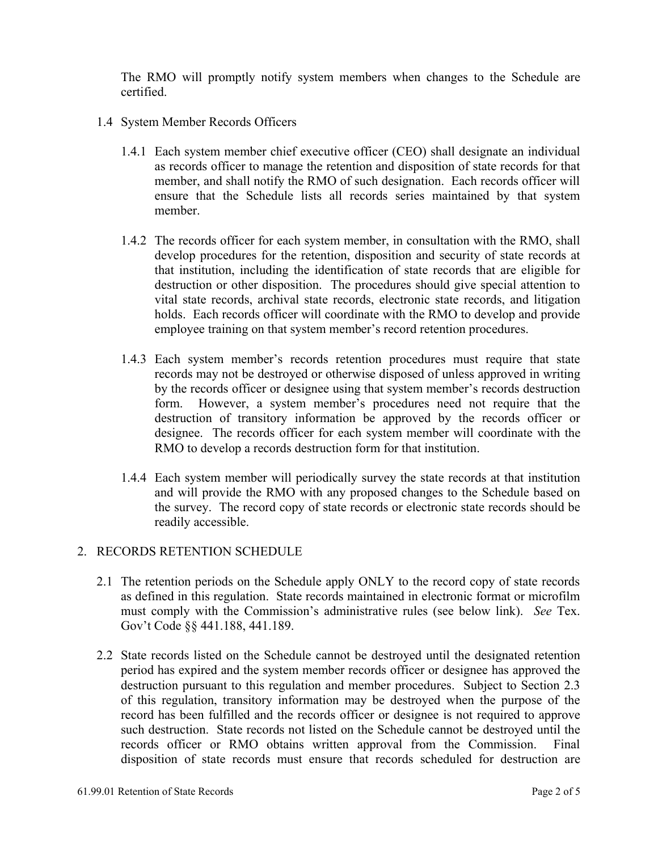The RMO will promptly notify system members when changes to the Schedule are certified.

- 1.4 System Member Records Officers
	- 1.4.1 Each system member chief executive officer (CEO) shall designate an individual as records officer to manage the retention and disposition of state records for that member, and shall notify the RMO of such designation. Each records officer will ensure that the Schedule lists all records series maintained by that system member.
	- 1.4.2 The records officer for each system member, in consultation with the RMO, shall develop procedures for the retention, disposition and security of state records at that institution, including the identification of state records that are eligible for destruction or other disposition. The procedures should give special attention to vital state records, archival state records, electronic state records, and litigation holds. Each records officer will coordinate with the RMO to develop and provide employee training on that system member's record retention procedures.
	- 1.4.3 Each system member's records retention procedures must require that state records may not be destroyed or otherwise disposed of unless approved in writing by the records officer or designee using that system member's records destruction form. However, a system member's procedures need not require that the destruction of transitory information be approved by the records officer or designee. The records officer for each system member will coordinate with the RMO to develop a records destruction form for that institution.
	- 1.4.4 Each system member will periodically survey the state records at that institution and will provide the RMO with any proposed changes to the Schedule based on the survey. The record copy of state records or electronic state records should be readily accessible.

#### 2. RECORDS RETENTION SCHEDULE

- 2.1 The retention periods on the Schedule apply ONLY to the record copy of state records as defined in this regulation. State records maintained in electronic format or microfilm must comply with the Commission's administrative rules (see below link). *See* Tex. Gov't Code §§ 441.188, 441.189.
- 2.2 State records listed on the Schedule cannot be destroyed until the designated retention period has expired and the system member records officer or designee has approved the destruction pursuant to this regulation and member procedures. Subject to Section 2.3 of this regulation, transitory information may be destroyed when the purpose of the record has been fulfilled and the records officer or designee is not required to approve such destruction. State records not listed on the Schedule cannot be destroyed until the records officer or RMO obtains written approval from the Commission. Final disposition of state records must ensure that records scheduled for destruction are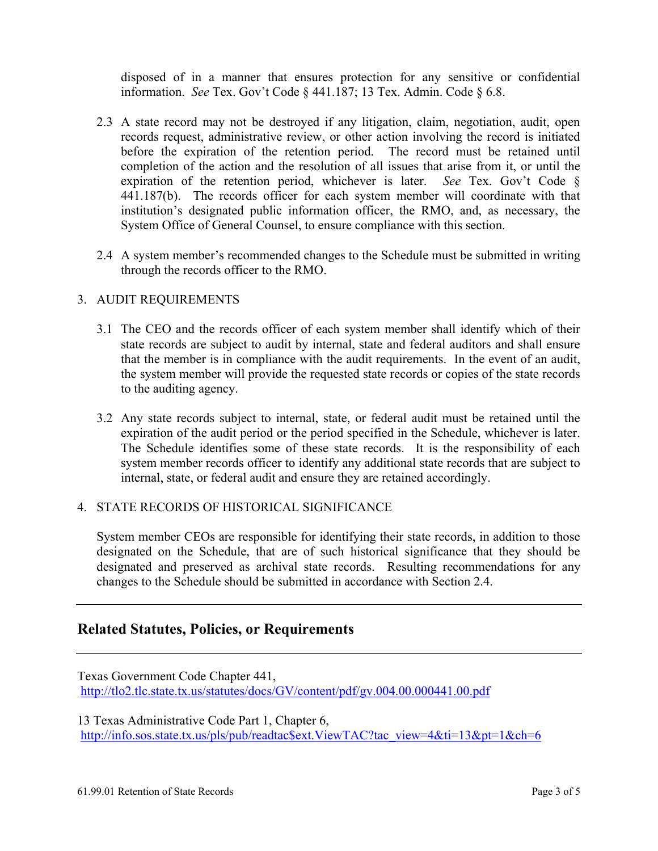disposed of in a manner that ensures protection for any sensitive or confidential information. *See* Tex. Gov't Code § 441.187; 13 Tex. Admin. Code § 6.8.

- 2.3 A state record may not be destroyed if any litigation, claim, negotiation, audit, open records request, administrative review, or other action involving the record is initiated before the expiration of the retention period. The record must be retained until completion of the action and the resolution of all issues that arise from it, or until the expiration of the retention period, whichever is later. *See* Tex. Gov't Code § 441.187(b). The records officer for each system member will coordinate with that institution's designated public information officer, the RMO, and, as necessary, the System Office of General Counsel, to ensure compliance with this section.
- 2.4 A system member's recommended changes to the Schedule must be submitted in writing through the records officer to the RMO.

#### 3. AUDIT REQUIREMENTS

- 3.1 The CEO and the records officer of each system member shall identify which of their state records are subject to audit by internal, state and federal auditors and shall ensure that the member is in compliance with the audit requirements. In the event of an audit, the system member will provide the requested state records or copies of the state records to the auditing agency.
- 3.2 Any state records subject to internal, state, or federal audit must be retained until the expiration of the audit period or the period specified in the Schedule, whichever is later. The Schedule identifies some of these state records. It is the responsibility of each system member records officer to identify any additional state records that are subject to internal, state, or federal audit and ensure they are retained accordingly.

#### 4. STATE RECORDS OF HISTORICAL SIGNIFICANCE

System member CEOs are responsible for identifying their state records, in addition to those designated on the Schedule, that are of such historical significance that they should be designated and preserved as archival state records. Resulting recommendations for any changes to the Schedule should be submitted in accordance with Section 2.4.

## **Related Statutes, Policies, or Requirements**

Texas Government Code Chapter 441, http://tlo2.tlc.state.tx.us/statutes/docs/GV/content/pdf/gv.004.00.000441.00.pdf

13 Texas Administrative Code Part 1, Chapter 6, http://info.sos.state.tx.us/pls/pub/readtac\$ext.ViewTAC?tac\_view=4&ti=13&pt=1&ch=6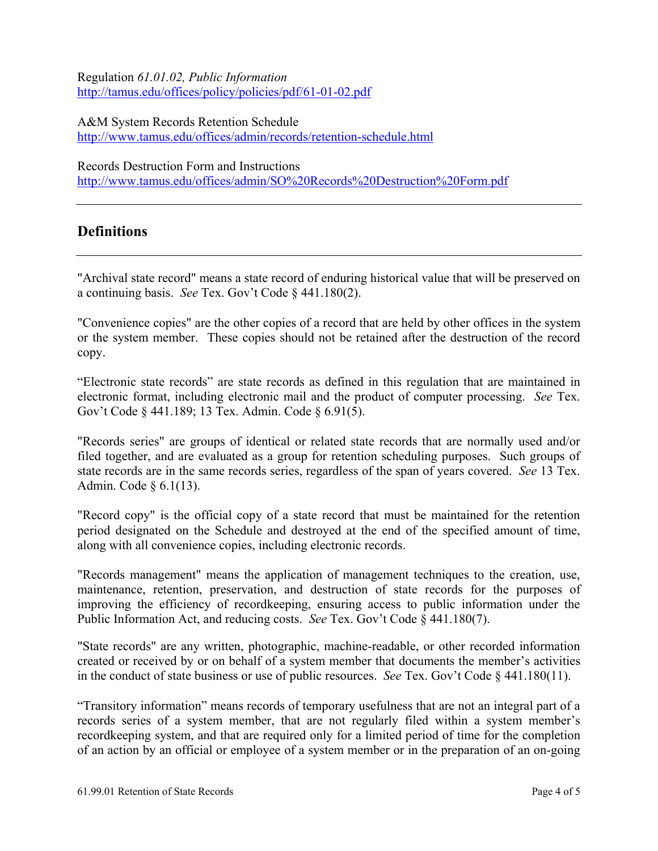Regulation *61.01.02, Public Information* http://tamus.edu/offices/policy/policies/pdf/61-01-02.pdf

A&M System Records Retention Schedule http://www.tamus.edu/offices/admin/records/retention-schedule.html

Records Destruction Form and Instructions

http://www.tamus.edu/offices/admin/SO%20Records%20Destruction%20Form.pdf

# **Definitions**

"Archival state record" means a state record of enduring historical value that will be preserved on a continuing basis. *See* Tex. Gov't Code § 441.180(2).

"Convenience copies" are the other copies of a record that are held by other offices in the system or the system member. These copies should not be retained after the destruction of the record copy.

"Electronic state records" are state records as defined in this regulation that are maintained in electronic format, including electronic mail and the product of computer processing. *See* Tex. Gov't Code § 441.189; 13 Tex. Admin. Code § 6.91(5).

"Records series" are groups of identical or related state records that are normally used and/or filed together, and are evaluated as a group for retention scheduling purposes. Such groups of state records are in the same records series, regardless of the span of years covered. *See* 13 Tex. Admin. Code § 6.1(13).

"Record copy" is the official copy of a state record that must be maintained for the retention period designated on the Schedule and destroyed at the end of the specified amount of time, along with all convenience copies, including electronic records.

"Records management" means the application of management techniques to the creation, use, maintenance, retention, preservation, and destruction of state records for the purposes of improving the efficiency of recordkeeping, ensuring access to public information under the Public Information Act, and reducing costs. *See* Tex. Gov't Code § 441.180(7).

"State records" are any written, photographic, machine-readable, or other recorded information created or received by or on behalf of a system member that documents the member's activities in the conduct of state business or use of public resources. *See* Tex. Gov't Code § 441.180(11).

"Transitory information" means records of temporary usefulness that are not an integral part of a records series of a system member, that are not regularly filed within a system member's recordkeeping system, and that are required only for a limited period of time for the completion of an action by an official or employee of a system member or in the preparation of an on-going